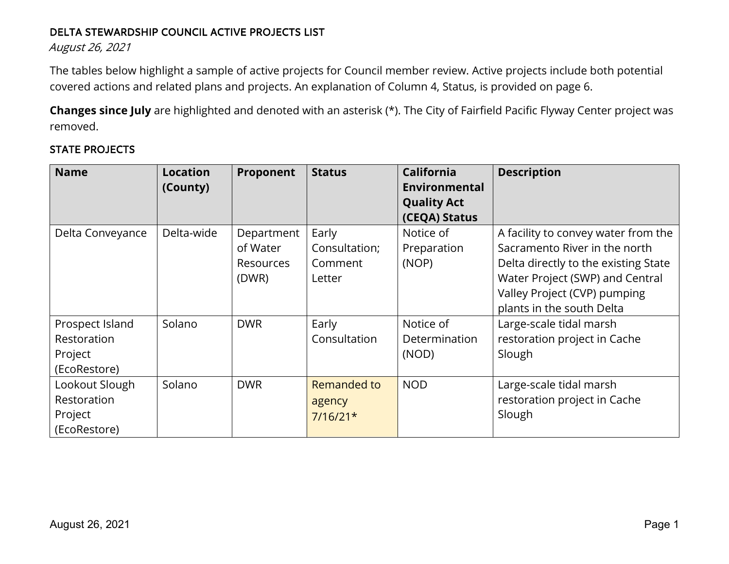#### DELTA STEWARDSHIP COUNCIL ACTIVE PROJECTS LIST

August 26, 2021

The tables below highlight a sample of active projects for Council member review. Active projects include both potential covered actions and related plans and projects. An explanation of Column 4, Status, is provided on page 6.

**Changes since July** are highlighted and denoted with an asterisk (\*). The City of Fairfield Pacific Flyway Center project was removed.

# STATE PROJECTS

| <b>Name</b>      | <b>Location</b><br>(County) | Proponent  | <b>Status</b> | <b>California</b><br>Environmental<br><b>Quality Act</b> | <b>Description</b>                   |
|------------------|-----------------------------|------------|---------------|----------------------------------------------------------|--------------------------------------|
|                  |                             |            |               | (CEQA) Status                                            |                                      |
| Delta Conveyance | Delta-wide                  | Department | Early         | Notice of                                                | A facility to convey water from the  |
|                  |                             | of Water   | Consultation; | Preparation                                              | Sacramento River in the north        |
|                  |                             | Resources  | Comment       | (NOP)                                                    | Delta directly to the existing State |
|                  |                             | (DWR)      | Letter        |                                                          | Water Project (SWP) and Central      |
|                  |                             |            |               |                                                          | Valley Project (CVP) pumping         |
|                  |                             |            |               |                                                          | plants in the south Delta            |
| Prospect Island  | Solano                      | <b>DWR</b> | Early         | Notice of                                                | Large-scale tidal marsh              |
| Restoration      |                             |            | Consultation  | Determination                                            | restoration project in Cache         |
| Project          |                             |            |               | (NOD)                                                    | Slough                               |
| (EcoRestore)     |                             |            |               |                                                          |                                      |
| Lookout Slough   | Solano                      | <b>DWR</b> | Remanded to   | <b>NOD</b>                                               | Large-scale tidal marsh              |
| Restoration      |                             |            | agency        |                                                          | restoration project in Cache         |
| Project          |                             |            | $7/16/21*$    |                                                          | Slough                               |
| (EcoRestore)     |                             |            |               |                                                          |                                      |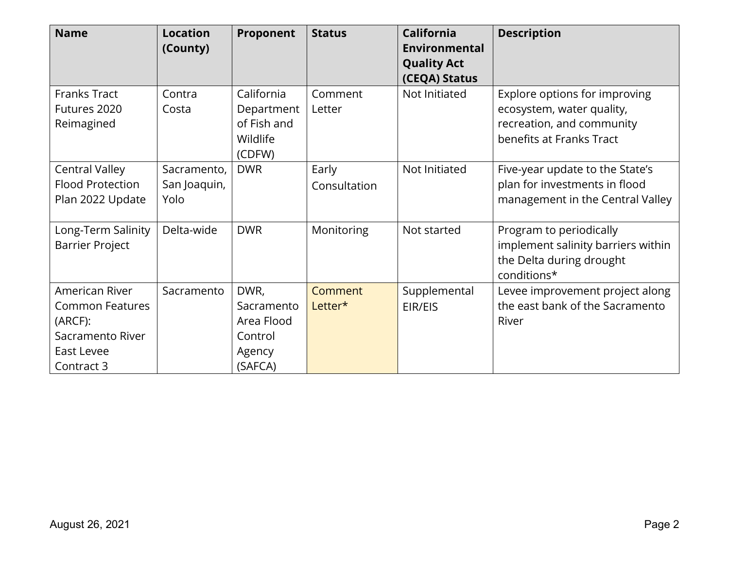| <b>Name</b>                                                                                         | <b>Location</b><br>(County)         | Proponent                                                        | <b>Status</b>         | <b>California</b><br><b>Environmental</b><br><b>Quality Act</b><br>(CEQA) Status | <b>Description</b>                                                                                                  |
|-----------------------------------------------------------------------------------------------------|-------------------------------------|------------------------------------------------------------------|-----------------------|----------------------------------------------------------------------------------|---------------------------------------------------------------------------------------------------------------------|
| <b>Franks Tract</b><br>Futures 2020<br>Reimagined                                                   | Contra<br>Costa                     | California<br>Department<br>of Fish and<br>Wildlife<br>(CDFW)    | Comment<br>Letter     | Not Initiated                                                                    | Explore options for improving<br>ecosystem, water quality,<br>recreation, and community<br>benefits at Franks Tract |
| <b>Central Valley</b><br><b>Flood Protection</b><br>Plan 2022 Update                                | Sacramento,<br>San Joaquin,<br>Yolo | <b>DWR</b>                                                       | Early<br>Consultation | Not Initiated                                                                    | Five-year update to the State's<br>plan for investments in flood<br>management in the Central Valley                |
| Long-Term Salinity<br><b>Barrier Project</b>                                                        | Delta-wide                          | <b>DWR</b>                                                       | Monitoring            | Not started                                                                      | Program to periodically<br>implement salinity barriers within<br>the Delta during drought<br>conditions*            |
| American River<br><b>Common Features</b><br>(ARCF):<br>Sacramento River<br>East Levee<br>Contract 3 | Sacramento                          | DWR,<br>Sacramento<br>Area Flood<br>Control<br>Agency<br>(SAFCA) | Comment<br>Letter*    | Supplemental<br>EIR/EIS                                                          | Levee improvement project along<br>the east bank of the Sacramento<br>River                                         |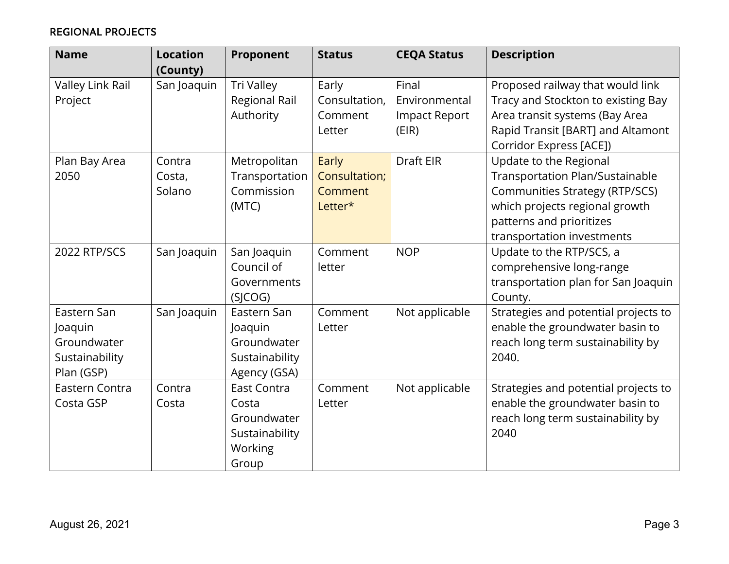# REGIONAL PROJECTS

| <b>Name</b>      | <b>Location</b><br>(County) | Proponent            | <b>Status</b>     | <b>CEQA Status</b>     | <b>Description</b>                                                  |
|------------------|-----------------------------|----------------------|-------------------|------------------------|---------------------------------------------------------------------|
| Valley Link Rail | San Joaquin                 | Tri Valley           | Early             | Final                  | Proposed railway that would link                                    |
| Project          |                             | <b>Regional Rail</b> | Consultation,     | Environmental          | Tracy and Stockton to existing Bay                                  |
|                  |                             | Authority            | Comment<br>Letter | Impact Report<br>(EIR) | Area transit systems (Bay Area<br>Rapid Transit [BART] and Altamont |
|                  |                             |                      |                   |                        | Corridor Express [ACE])                                             |
| Plan Bay Area    | Contra                      | Metropolitan         | Early             | Draft EIR              | Update to the Regional                                              |
| 2050             | Costa,                      | Transportation       | Consultation;     |                        | Transportation Plan/Sustainable                                     |
|                  | Solano                      | Commission           | Comment           |                        | <b>Communities Strategy (RTP/SCS)</b>                               |
|                  |                             | (MTC)                | Letter*           |                        | which projects regional growth                                      |
|                  |                             |                      |                   |                        | patterns and prioritizes                                            |
|                  |                             |                      |                   |                        | transportation investments                                          |
| 2022 RTP/SCS     | San Joaquin                 | San Joaquin          | Comment           | <b>NOP</b>             | Update to the RTP/SCS, a                                            |
|                  |                             | Council of           | letter            |                        | comprehensive long-range                                            |
|                  |                             | Governments          |                   |                        | transportation plan for San Joaquin                                 |
|                  |                             | (SICOG)              |                   |                        | County.                                                             |
| Eastern San      | San Joaquin                 | Eastern San          | Comment           | Not applicable         | Strategies and potential projects to                                |
| Joaquin          |                             | Joaquin              | Letter            |                        | enable the groundwater basin to                                     |
| Groundwater      |                             | Groundwater          |                   |                        | reach long term sustainability by                                   |
| Sustainability   |                             | Sustainability       |                   |                        | 2040.                                                               |
| Plan (GSP)       |                             | Agency (GSA)         |                   |                        |                                                                     |
| Eastern Contra   | Contra                      | <b>East Contra</b>   | Comment           | Not applicable         | Strategies and potential projects to                                |
| Costa GSP        | Costa                       | Costa                | Letter            |                        | enable the groundwater basin to                                     |
|                  |                             | Groundwater          |                   |                        | reach long term sustainability by                                   |
|                  |                             | Sustainability       |                   |                        | 2040                                                                |
|                  |                             | Working              |                   |                        |                                                                     |
|                  |                             | Group                |                   |                        |                                                                     |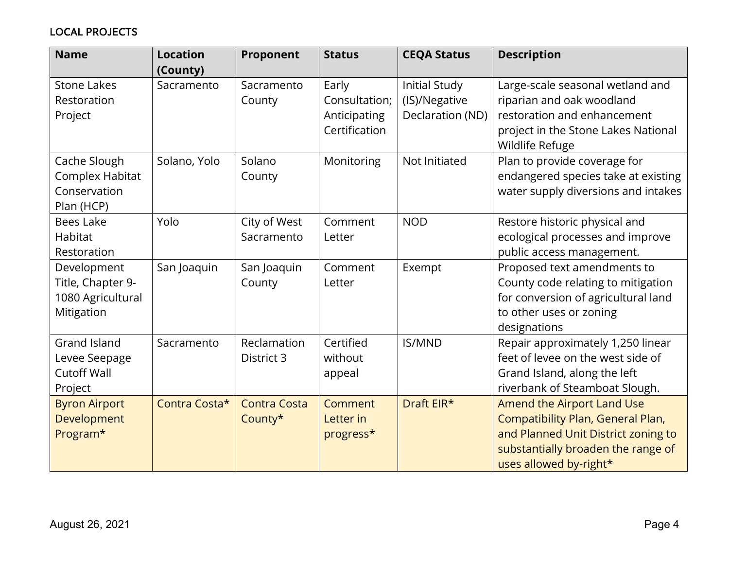# LOCAL PROJECTS

| <b>Name</b>                                                           | <b>Location</b><br>(County) | Proponent                      | <b>Status</b>                                           | <b>CEQA Status</b>                                        | <b>Description</b>                                                                                                                                                     |
|-----------------------------------------------------------------------|-----------------------------|--------------------------------|---------------------------------------------------------|-----------------------------------------------------------|------------------------------------------------------------------------------------------------------------------------------------------------------------------------|
| <b>Stone Lakes</b><br>Restoration<br>Project                          | Sacramento                  | Sacramento<br>County           | Early<br>Consultation;<br>Anticipating<br>Certification | <b>Initial Study</b><br>(IS)/Negative<br>Declaration (ND) | Large-scale seasonal wetland and<br>riparian and oak woodland<br>restoration and enhancement<br>project in the Stone Lakes National<br>Wildlife Refuge                 |
| Cache Slough<br>Complex Habitat<br>Conservation<br>Plan (HCP)         | Solano, Yolo                | Solano<br>County               | Monitoring                                              | Not Initiated                                             | Plan to provide coverage for<br>endangered species take at existing<br>water supply diversions and intakes                                                             |
| <b>Bees Lake</b><br>Habitat<br>Restoration                            | Yolo                        | City of West<br>Sacramento     | Comment<br>Letter                                       | <b>NOD</b>                                                | Restore historic physical and<br>ecological processes and improve<br>public access management.                                                                         |
| Development<br>Title, Chapter 9-<br>1080 Agricultural<br>Mitigation   | San Joaquin                 | San Joaquin<br>County          | Comment<br>Letter                                       | Exempt                                                    | Proposed text amendments to<br>County code relating to mitigation<br>for conversion of agricultural land<br>to other uses or zoning<br>designations                    |
| <b>Grand Island</b><br>Levee Seepage<br><b>Cutoff Wall</b><br>Project | Sacramento                  | Reclamation<br>District 3      | Certified<br>without<br>appeal                          | <b>IS/MND</b>                                             | Repair approximately 1,250 linear<br>feet of levee on the west side of<br>Grand Island, along the left<br>riverbank of Steamboat Slough.                               |
| <b>Byron Airport</b><br>Development<br>Program*                       | Contra Costa*               | <b>Contra Costa</b><br>County* | Comment<br>Letter in<br>progress*                       | Draft EIR*                                                | Amend the Airport Land Use<br>Compatibility Plan, General Plan,<br>and Planned Unit District zoning to<br>substantially broaden the range of<br>uses allowed by-right* |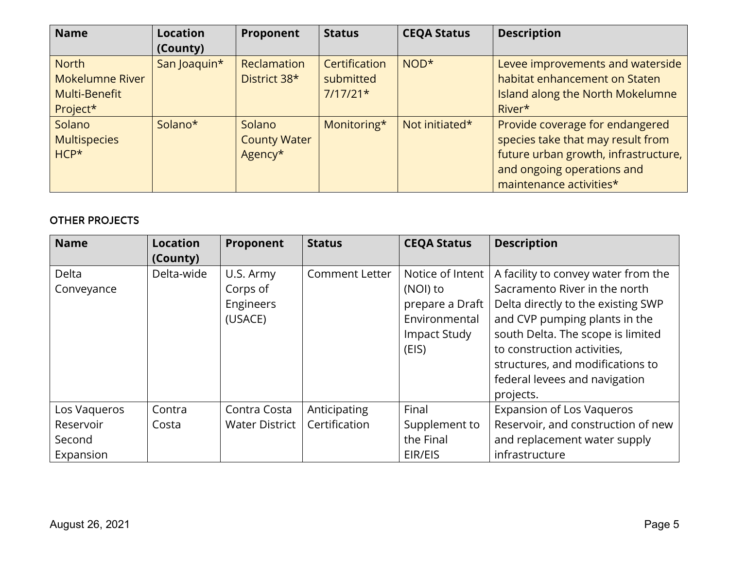| <b>Name</b>                                                         | Location<br>(County) | Proponent                                | <b>Status</b>                            | <b>CEQA Status</b> | <b>Description</b>                                                                                                                                                    |
|---------------------------------------------------------------------|----------------------|------------------------------------------|------------------------------------------|--------------------|-----------------------------------------------------------------------------------------------------------------------------------------------------------------------|
| <b>North</b><br><b>Mokelumne River</b><br>Multi-Benefit<br>Project* | San Joaquin*         | Reclamation<br>District 38*              | Certification<br>submitted<br>$7/17/21*$ | $NOD*$             | Levee improvements and waterside<br>habitat enhancement on Staten<br>Island along the North Mokelumne<br>River*                                                       |
| Solano<br><b>Multispecies</b><br>$HCP*$                             | Solano*              | Solano<br><b>County Water</b><br>Agency* | Monitoring*                              | Not initiated*     | Provide coverage for endangered<br>species take that may result from<br>future urban growth, infrastructure,<br>and ongoing operations and<br>maintenance activities* |

#### OTHER PROJECTS

| <b>Name</b>  | <b>Location</b> | Proponent      | <b>Status</b>         | <b>CEQA Status</b> | <b>Description</b>                  |
|--------------|-----------------|----------------|-----------------------|--------------------|-------------------------------------|
|              | (County)        |                |                       |                    |                                     |
| Delta        | Delta-wide      | U.S. Army      | <b>Comment Letter</b> | Notice of Intent   | A facility to convey water from the |
| Conveyance   |                 | Corps of       |                       | (NOI) to           | Sacramento River in the north       |
|              |                 | Engineers      |                       | prepare a Draft    | Delta directly to the existing SWP  |
|              |                 | (USACE)        |                       | Environmental      | and CVP pumping plants in the       |
|              |                 |                |                       | Impact Study       | south Delta. The scope is limited   |
|              |                 |                |                       | (EIS)              | to construction activities,         |
|              |                 |                |                       |                    | structures, and modifications to    |
|              |                 |                |                       |                    | federal levees and navigation       |
|              |                 |                |                       |                    | projects.                           |
| Los Vagueros | Contra          | Contra Costa   | Anticipating          | Final              | <b>Expansion of Los Vaqueros</b>    |
| Reservoir    | Costa           | Water District | Certification         | Supplement to      | Reservoir, and construction of new  |
| Second       |                 |                |                       | the Final          | and replacement water supply        |
| Expansion    |                 |                |                       | EIR/EIS            | infrastructure                      |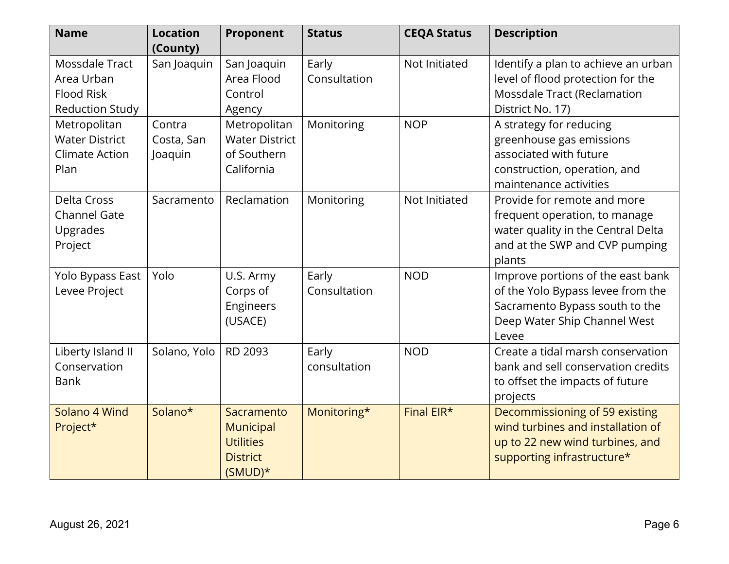| <b>Name</b>                                                                 | <b>Location</b><br>(County)     | Proponent                                                                   | <b>Status</b>         | <b>CEQA Status</b> | <b>Description</b>                                                                                                                                |
|-----------------------------------------------------------------------------|---------------------------------|-----------------------------------------------------------------------------|-----------------------|--------------------|---------------------------------------------------------------------------------------------------------------------------------------------------|
| Mossdale Tract<br>Area Urban<br><b>Flood Risk</b><br><b>Reduction Study</b> | San Joaquin                     | San Joaquin<br>Area Flood<br>Control<br>Agency                              | Early<br>Consultation | Not Initiated      | Identify a plan to achieve an urban<br>level of flood protection for the<br><b>Mossdale Tract (Reclamation</b><br>District No. 17)                |
| Metropolitan<br><b>Water District</b><br><b>Climate Action</b><br>Plan      | Contra<br>Costa, San<br>Joaquin | Metropolitan<br><b>Water District</b><br>of Southern<br>California          | Monitoring            | <b>NOP</b>         | A strategy for reducing<br>greenhouse gas emissions<br>associated with future<br>construction, operation, and<br>maintenance activities           |
| Delta Cross<br><b>Channel Gate</b><br>Upgrades<br>Project                   | Sacramento                      | Reclamation                                                                 | Monitoring            | Not Initiated      | Provide for remote and more<br>frequent operation, to manage<br>water quality in the Central Delta<br>and at the SWP and CVP pumping<br>plants    |
| Yolo Bypass East<br>Levee Project                                           | Yolo                            | U.S. Army<br>Corps of<br>Engineers<br>(USACE)                               | Early<br>Consultation | <b>NOD</b>         | Improve portions of the east bank<br>of the Yolo Bypass levee from the<br>Sacramento Bypass south to the<br>Deep Water Ship Channel West<br>Levee |
| Liberty Island II<br>Conservation<br><b>Bank</b>                            | Solano, Yolo                    | RD 2093                                                                     | Early<br>consultation | <b>NOD</b>         | Create a tidal marsh conservation<br>bank and sell conservation credits<br>to offset the impacts of future<br>projects                            |
| Solano 4 Wind<br>Project*                                                   | Solano*                         | Sacramento<br>Municipal<br><b>Utilities</b><br><b>District</b><br>$(SMUD)*$ | Monitoring*           | Final EIR*         | Decommissioning of 59 existing<br>wind turbines and installation of<br>up to 22 new wind turbines, and<br>supporting infrastructure*              |